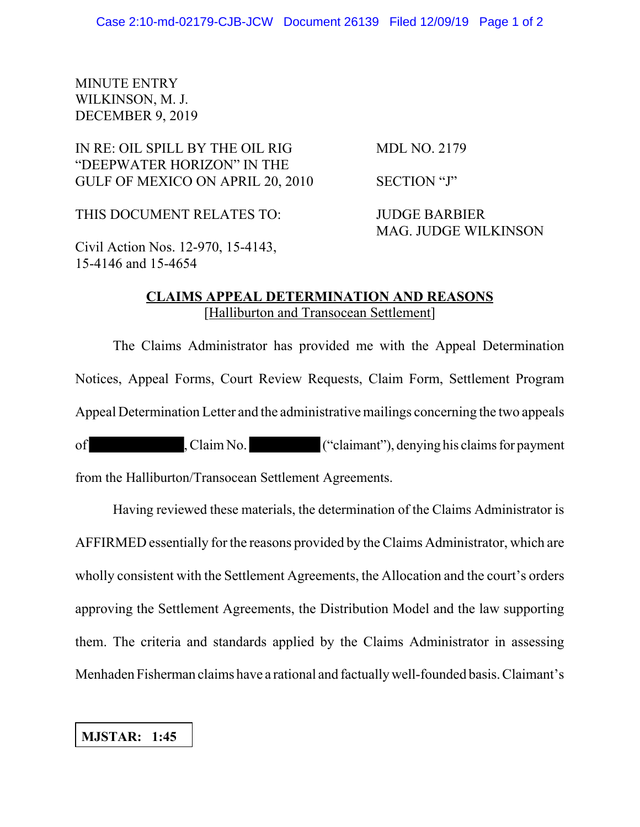## MINUTE ENTRY WILKINSON, M. J. DECEMBER 9, 2019

## IN RE: OIL SPILL BY THE OIL RIG MDL NO. 2179 "DEEPWATER HORIZON" IN THE GULF OF MEXICO ON APRIL 20, 2010 SECTION "J"

THIS DOCUMENT RELATES TO: JUDGE BARBIER

MAG. JUDGE WILKINSON

Civil Action Nos. 12-970, 15-4143, 15-4146 and 15-4654

## **CLAIMS APPEAL DETERMINATION AND REASONS** [Halliburton and Transocean Settlement]

The Claims Administrator has provided me with the Appeal Determination Notices, Appeal Forms, Court Review Requests, Claim Form, Settlement Program Appeal Determination Letter and the administrative mailings concerning the two appeals

of , Claim No. ("claimant"), denying his claims for payment from the Halliburton/Transocean Settlement Agreements.

Having reviewed these materials, the determination of the Claims Administrator is AFFIRMED essentially for the reasons provided by the Claims Administrator, which are wholly consistent with the Settlement Agreements, the Allocation and the court's orders approving the Settlement Agreements, the Distribution Model and the law supporting them. The criteria and standards applied by the Claims Administrator in assessing Menhaden Fisherman claims have a rational and factually well-founded basis. Claimant's

## **MJSTAR: 1:45**